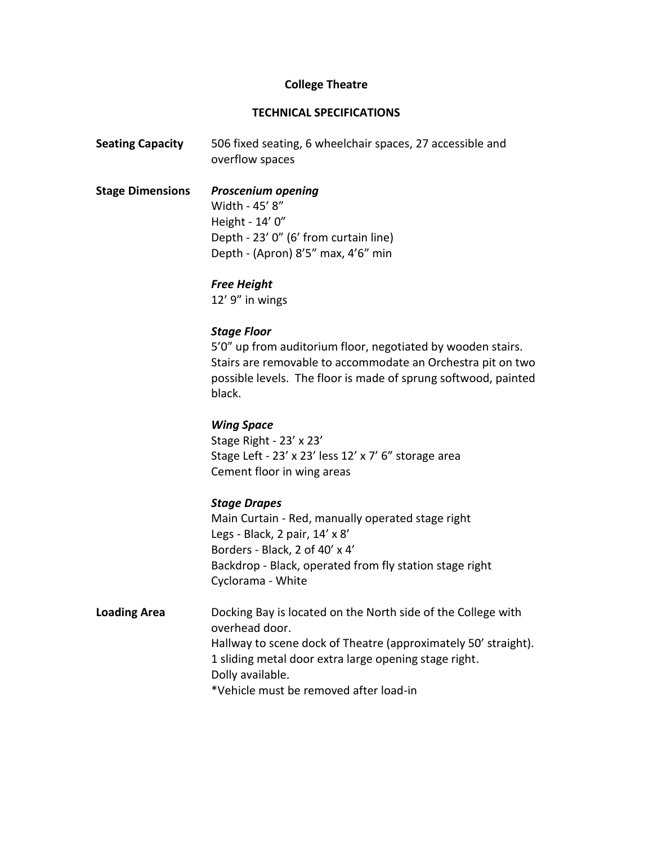# **College Theatre**

## **TECHNICAL SPECIFICATIONS**

| <b>Seating Capacity</b> | 506 fixed seating, 6 wheelchair spaces, 27 accessible and |
|-------------------------|-----------------------------------------------------------|
|                         | overflow spaces                                           |

**Stage Dimensions** *Proscenium opening* Width - 45' 8" Height - 14' 0" Depth - 23' 0" (6' from curtain line) Depth - (Apron) 8'5" max, 4'6" min

> *Free Height* 12' 9" in wings

## *Stage Floor*

5'0" up from auditorium floor, negotiated by wooden stairs. Stairs are removable to accommodate an Orchestra pit on two possible levels. The floor is made of sprung softwood, painted black.

## *Wing Space*

Stage Right - 23' x 23' Stage Left - 23' x 23' less 12' x 7' 6" storage area Cement floor in wing areas

### *Stage Drapes*

Main Curtain - Red, manually operated stage right Legs - Black, 2 pair, 14' x 8' Borders - Black, 2 of 40' x 4' Backdrop - Black, operated from fly station stage right Cyclorama - White

Loading Area **Docking Bay is located on the North side of the College with** overhead door. Hallway to scene dock of Theatre (approximately 50' straight). 1 sliding metal door extra large opening stage right. Dolly available. \*Vehicle must be removed after load-in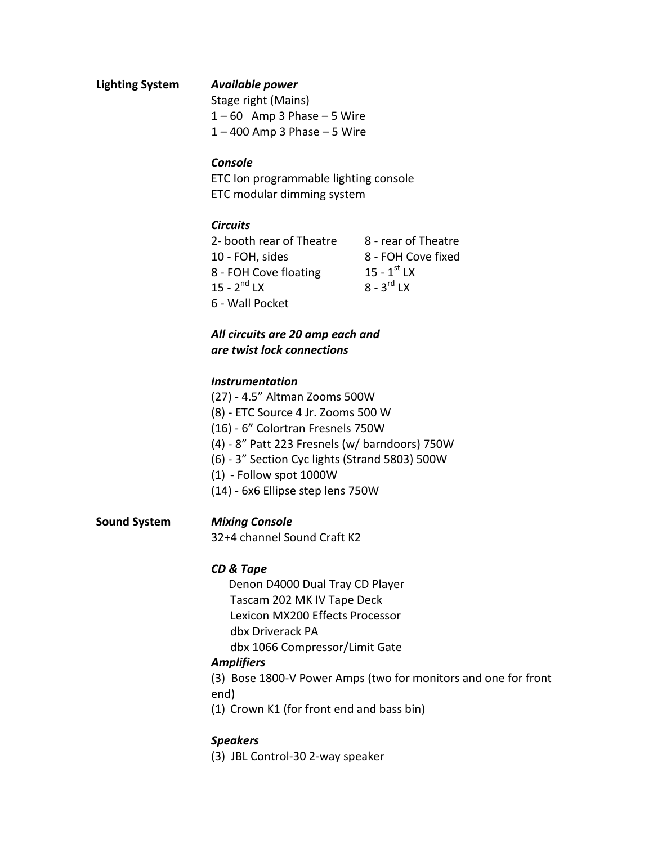## **Lighting System** *Available power*

Stage right (Mains)  $1 - 60$  Amp 3 Phase  $-5$  Wire 1 – 400 Amp 3 Phase – 5 Wire

## *Console*

ETC Ion programmable lighting console ETC modular dimming system

# *Circuits*

| 2- booth rear of Theatre | 8 - rear of Theatre      |
|--------------------------|--------------------------|
| 10 - FOH, sides          | 8 - FOH Cove fixed       |
| 8 - FOH Cove floating    | 15 - $1^{st}$ LX         |
| 15 - $2^{nd}$ LX         | $8 - 3$ <sup>rd</sup> LX |
| 6 - Wall Pocket          |                          |

# *All circuits are 20 amp each and are twist lock connections*

# *Instrumentation*

- (27) 4.5" Altman Zooms 500W
- (8) ETC Source 4 Jr. Zooms 500 W
- (16) 6" Colortran Fresnels 750W
- (4) 8" Patt 223 Fresnels (w/ barndoors) 750W
- (6) 3" Section Cyc lights (Strand 5803) 500W
- (1) Follow spot 1000W
- (14) 6x6 Ellipse step lens 750W

# **Sound System** *Mixing Console*

32+4 channel Sound Craft K2

# *CD & Tape*

 Denon D4000 Dual Tray CD Player Tascam 202 MK IV Tape Deck Lexicon MX200 Effects Processor dbx Driverack PA dbx 1066 Compressor/Limit Gate

# *Amplifiers*

(3) Bose 1800-V Power Amps (two for monitors and one for front end)

(1) Crown K1 (for front end and bass bin)

# *Speakers*

(3) JBL Control-30 2-way speaker